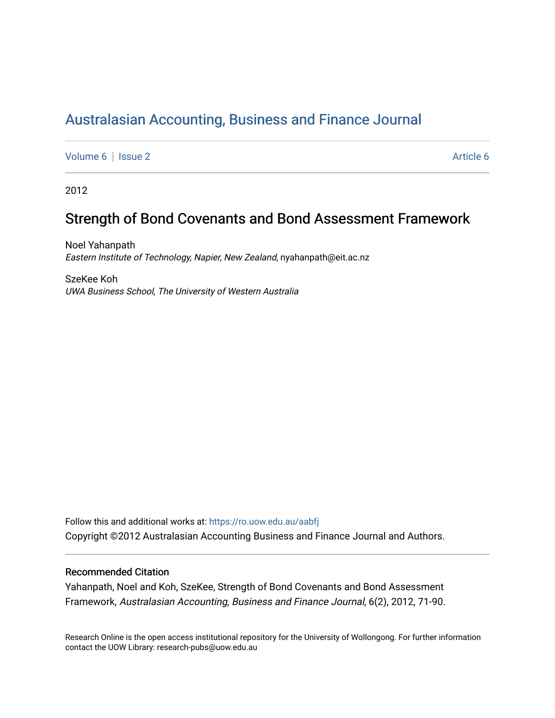# [Australasian Accounting, Business and Finance Journal](https://ro.uow.edu.au/aabfj)

[Volume 6](https://ro.uow.edu.au/aabfj/vol6) | [Issue 2](https://ro.uow.edu.au/aabfj/vol6/iss2) [Article 6](https://ro.uow.edu.au/aabfj/vol6/iss2/6) | Article 6 Article 6 | Article 6 Article 6 | Article 6 | Article 6 | Article 6 |

2012

# Strength of Bond Covenants and Bond Assessment Framework

Noel Yahanpath Eastern Institute of Technology, Napier, New Zealand, nyahanpath@eit.ac.nz

SzeKee Koh UWA Business School, The University of Western Australia

Follow this and additional works at: [https://ro.uow.edu.au/aabfj](https://ro.uow.edu.au/aabfj?utm_source=ro.uow.edu.au%2Faabfj%2Fvol6%2Fiss2%2F6&utm_medium=PDF&utm_campaign=PDFCoverPages) Copyright ©2012 Australasian Accounting Business and Finance Journal and Authors.

#### Recommended Citation

Yahanpath, Noel and Koh, SzeKee, Strength of Bond Covenants and Bond Assessment Framework, Australasian Accounting, Business and Finance Journal, 6(2), 2012, 71-90.

Research Online is the open access institutional repository for the University of Wollongong. For further information contact the UOW Library: research-pubs@uow.edu.au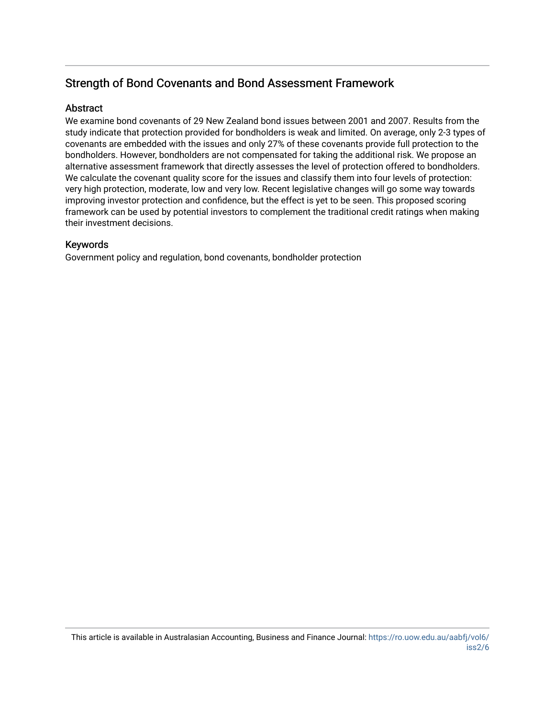# Strength of Bond Covenants and Bond Assessment Framework

# **Abstract**

We examine bond covenants of 29 New Zealand bond issues between 2001 and 2007. Results from the study indicate that protection provided for bondholders is weak and limited. On average, only 2-3 types of covenants are embedded with the issues and only 27% of these covenants provide full protection to the bondholders. However, bondholders are not compensated for taking the additional risk. We propose an alternative assessment framework that directly assesses the level of protection offered to bondholders. We calculate the covenant quality score for the issues and classify them into four levels of protection: very high protection, moderate, low and very low. Recent legislative changes will go some way towards improving investor protection and confidence, but the effect is yet to be seen. This proposed scoring framework can be used by potential investors to complement the traditional credit ratings when making their investment decisions.

# Keywords

Government policy and regulation, bond covenants, bondholder protection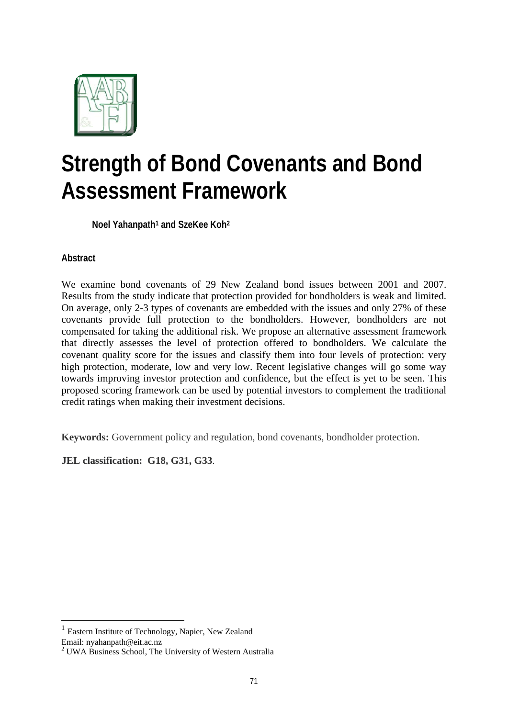

# **Strength of Bond Covenants and Bond Assessment Framework**

**Noel Yahanpath1 and SzeKee Koh2**

# **Abstract**

We examine bond covenants of 29 New Zealand bond issues between 2001 and 2007. Results from the study indicate that protection provided for bondholders is weak and limited. On average, only 2-3 types of covenants are embedded with the issues and only 27% of these covenants provide full protection to the bondholders. However, bondholders are not compensated for taking the additional risk. We propose an alternative assessment framework that directly assesses the level of protection offered to bondholders. We calculate the covenant quality score for the issues and classify them into four levels of protection: very high protection, moderate, low and very low. Recent legislative changes will go some way towards improving investor protection and confidence, but the effect is yet to be seen. This proposed scoring framework can be used by potential investors to complement the traditional credit ratings when making their investment decisions.

**Keywords:** Government policy and regulation, bond covenants, bondholder protection.

**JEL classification: G18, G31, G33**.

Eastern Institute of Technology, Napier, New Zealand

Email: nyahanpath@eit.ac.nz

<sup>2</sup> UWA Business School, The University of Western Australia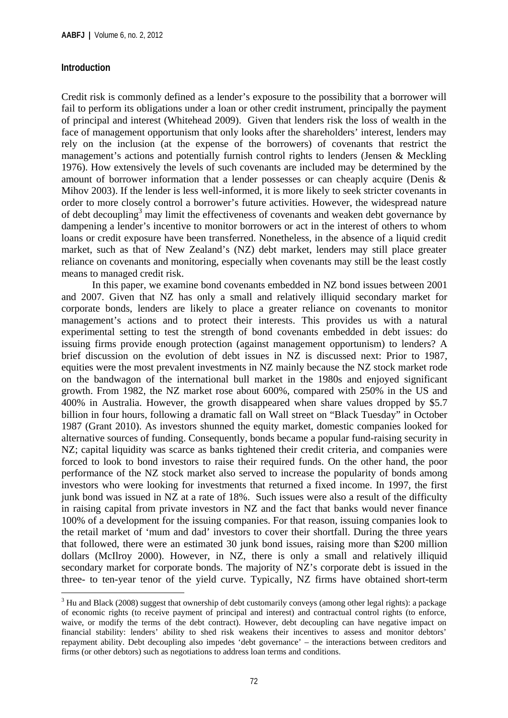#### **Introduction**

1

Credit risk is commonly defined as a lender's exposure to the possibility that a borrower will fail to perform its obligations under a loan or other credit instrument, principally the payment of principal and interest (Whitehead 2009). Given that lenders risk the loss of wealth in the face of management opportunism that only looks after the shareholders' interest, lenders may rely on the inclusion (at the expense of the borrowers) of covenants that restrict the management's actions and potentially furnish control rights to lenders (Jensen & Meckling 1976). How extensively the levels of such covenants are included may be determined by the amount of borrower information that a lender possesses or can cheaply acquire (Denis & Mihov 2003). If the lender is less well-informed, it is more likely to seek stricter covenants in order to more closely control a borrower's future activities. However, the widespread nature of debt decoupling<sup>3</sup> may limit the effectiveness of covenants and weaken debt governance by dampening a lender's incentive to monitor borrowers or act in the interest of others to whom loans or credit exposure have been transferred. Nonetheless, in the absence of a liquid credit market, such as that of New Zealand's (NZ) debt market, lenders may still place greater reliance on covenants and monitoring, especially when covenants may still be the least costly means to managed credit risk.

In this paper, we examine bond covenants embedded in NZ bond issues between 2001 and 2007. Given that NZ has only a small and relatively illiquid secondary market for corporate bonds, lenders are likely to place a greater reliance on covenants to monitor management's actions and to protect their interests. This provides us with a natural experimental setting to test the strength of bond covenants embedded in debt issues: do issuing firms provide enough protection (against management opportunism) to lenders? A brief discussion on the evolution of debt issues in NZ is discussed next: Prior to 1987, equities were the most prevalent investments in NZ mainly because the NZ stock market rode on the bandwagon of the international bull market in the 1980s and enjoyed significant growth. From 1982, the NZ market rose about 600%, compared with 250% in the US and 400% in Australia. However, the growth disappeared when share values dropped by \$5.7 billion in four hours, following a dramatic fall on Wall street on "Black Tuesday" in October 1987 (Grant 2010). As investors shunned the equity market, domestic companies looked for alternative sources of funding. Consequently, bonds became a popular fund-raising security in NZ; capital liquidity was scarce as banks tightened their credit criteria, and companies were forced to look to bond investors to raise their required funds. On the other hand, the poor performance of the NZ stock market also served to increase the popularity of bonds among investors who were looking for investments that returned a fixed income. In 1997, the first junk bond was issued in NZ at a rate of 18%. Such issues were also a result of the difficulty in raising capital from private investors in NZ and the fact that banks would never finance 100% of a development for the issuing companies. For that reason, issuing companies look to the retail market of 'mum and dad' investors to cover their shortfall. During the three years that followed, there were an estimated 30 junk bond issues, raising more than \$200 million dollars (McIlroy 2000). However, in NZ, there is only a small and relatively illiquid secondary market for corporate bonds. The majority of NZ's corporate debt is issued in the three- to ten-year tenor of the yield curve. Typically, NZ firms have obtained short-term

 $3$  Hu and Black (2008) suggest that ownership of debt customarily conveys (among other legal rights): a package of economic rights (to receive payment of principal and interest) and contractual control rights (to enforce, waive, or modify the terms of the debt contract). However, debt decoupling can have negative impact on financial stability: lenders' ability to shed risk weakens their incentives to assess and monitor debtors' repayment ability. Debt decoupling also impedes 'debt governance' – the interactions between creditors and firms (or other debtors) such as negotiations to address loan terms and conditions.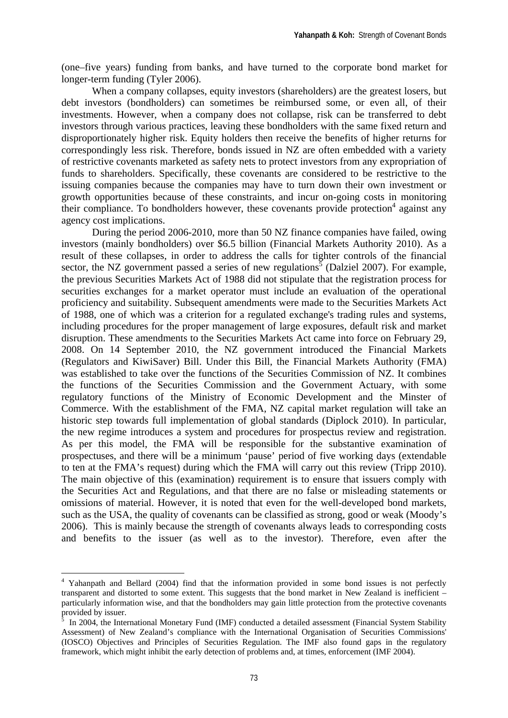(one–five years) funding from banks, and have turned to the corporate bond market for longer-term funding (Tyler 2006).

When a company collapses, equity investors (shareholders) are the greatest losers, but debt investors (bondholders) can sometimes be reimbursed some, or even all, of their investments. However, when a company does not collapse, risk can be transferred to debt investors through various practices, leaving these bondholders with the same fixed return and disproportionately higher risk. Equity holders then receive the benefits of higher returns for correspondingly less risk. Therefore, bonds issued in NZ are often embedded with a variety of restrictive covenants marketed as safety nets to protect investors from any expropriation of funds to shareholders. Specifically, these covenants are considered to be restrictive to the issuing companies because the companies may have to turn down their own investment or growth opportunities because of these constraints, and incur on-going costs in monitoring their compliance. To bondholders however, these covenants provide protection<sup>4</sup> against any agency cost implications.

During the period 2006-2010, more than 50 NZ finance companies have failed, owing investors (mainly bondholders) over \$6.5 billion (Financial Markets Authority 2010). As a result of these collapses, in order to address the calls for tighter controls of the financial sector, the NZ government passed a series of new regulations<sup>5</sup> (Dalziel 2007). For example, the previous Securities Markets Act of 1988 did not stipulate that the registration process for securities exchanges for a market operator must include an evaluation of the operational proficiency and suitability. Subsequent amendments were made to the Securities Markets Act of 1988, one of which was a criterion for a regulated exchange's trading rules and systems, including procedures for the proper management of large exposures, default risk and market disruption. These amendments to the Securities Markets Act came into force on February 29, 2008. On 14 September 2010, the NZ government introduced the Financial Markets (Regulators and KiwiSaver) Bill. Under this Bill, the Financial Markets Authority (FMA) was established to take over the functions of the Securities Commission of NZ. It combines the functions of the Securities Commission and the Government Actuary, with some regulatory functions of the Ministry of Economic Development and the Minster of Commerce. With the establishment of the FMA, NZ capital market regulation will take an historic step towards full implementation of global standards (Diplock 2010). In particular, the new regime introduces a system and procedures for prospectus review and registration. As per this model, the FMA will be responsible for the substantive examination of prospectuses, and there will be a minimum 'pause' period of five working days (extendable to ten at the FMA's request) during which the FMA will carry out this review (Tripp 2010). The main objective of this (examination) requirement is to ensure that issuers comply with the Securities Act and Regulations, and that there are no false or misleading statements or omissions of material. However, it is noted that even for the well-developed bond markets, such as the USA, the quality of covenants can be classified as strong, good or weak (Moody's 2006). This is mainly because the strength of covenants always leads to corresponding costs and benefits to the issuer (as well as to the investor). Therefore, even after the

<sup>&</sup>lt;sup>4</sup> Yahanpath and Bellard (2004) find that the information provided in some bond issues is not perfectly transparent and distorted to some extent. This suggests that the bond market in New Zealand is inefficient – particularly information wise, and that the bondholders may gain little protection from the protective covenants provided by issuer.<br>
<sup>5</sup> In 2004, the Inter

In 2004, the International Monetary Fund (IMF) conducted a detailed assessment (Financial System Stability Assessment) of New Zealand's compliance with the International Organisation of Securities Commissions' (IOSCO) Objectives and Principles of Securities Regulation. The IMF also found gaps in the regulatory framework, which might inhibit the early detection of problems and, at times, enforcement (IMF 2004).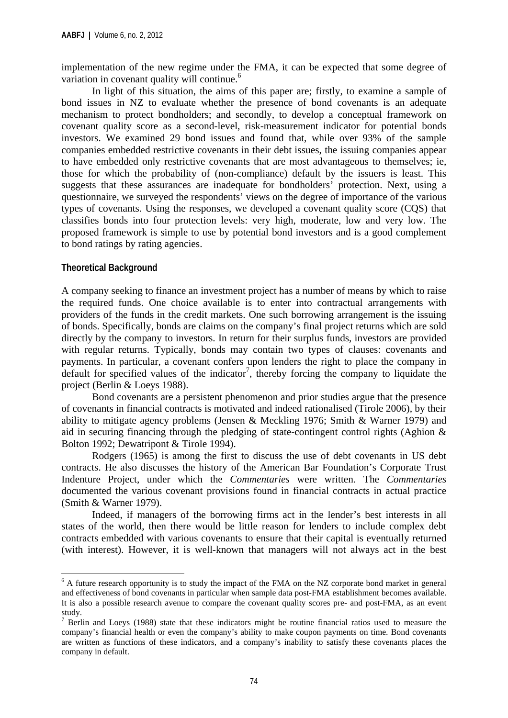implementation of the new regime under the FMA, it can be expected that some degree of variation in covenant quality will continue.<sup>6</sup>

In light of this situation, the aims of this paper are; firstly, to examine a sample of bond issues in NZ to evaluate whether the presence of bond covenants is an adequate mechanism to protect bondholders; and secondly, to develop a conceptual framework on covenant quality score as a second-level, risk-measurement indicator for potential bonds investors. We examined 29 bond issues and found that, while over 93% of the sample companies embedded restrictive covenants in their debt issues, the issuing companies appear to have embedded only restrictive covenants that are most advantageous to themselves; ie, those for which the probability of (non-compliance) default by the issuers is least. This suggests that these assurances are inadequate for bondholders' protection. Next, using a questionnaire, we surveyed the respondents' views on the degree of importance of the various types of covenants. Using the responses, we developed a covenant quality score (CQS) that classifies bonds into four protection levels: very high, moderate, low and very low. The proposed framework is simple to use by potential bond investors and is a good complement to bond ratings by rating agencies.

#### **Theoretical Background**

1

A company seeking to finance an investment project has a number of means by which to raise the required funds. One choice available is to enter into contractual arrangements with providers of the funds in the credit markets. One such borrowing arrangement is the issuing of bonds. Specifically, bonds are claims on the company's final project returns which are sold directly by the company to investors. In return for their surplus funds, investors are provided with regular returns. Typically, bonds may contain two types of clauses: covenants and payments. In particular, a covenant confers upon lenders the right to place the company in  $\det$  default for specified values of the indicator<sup>7</sup>, thereby forcing the company to liquidate the project (Berlin & Loeys 1988).

Bond covenants are a persistent phenomenon and prior studies argue that the presence of covenants in financial contracts is motivated and indeed rationalised (Tirole 2006), by their ability to mitigate agency problems (Jensen & Meckling 1976; Smith & Warner 1979) and aid in securing financing through the pledging of state-contingent control rights (Aghion & Bolton 1992; Dewatripont & Tirole 1994).

Rodgers (1965) is among the first to discuss the use of debt covenants in US debt contracts. He also discusses the history of the American Bar Foundation's Corporate Trust Indenture Project, under which the *Commentaries* were written. The *Commentaries* documented the various covenant provisions found in financial contracts in actual practice (Smith & Warner 1979).

Indeed, if managers of the borrowing firms act in the lender's best interests in all states of the world, then there would be little reason for lenders to include complex debt contracts embedded with various covenants to ensure that their capital is eventually returned (with interest). However, it is well-known that managers will not always act in the best

<sup>&</sup>lt;sup>6</sup> A future research opportunity is to study the impact of the FMA on the NZ corporate bond market in general and effectiveness of bond covenants in particular when sample data post-FMA establishment becomes available. It is also a possible research avenue to compare the covenant quality scores pre- and post-FMA, as an event study.

 $7$  Berlin and Loeys (1988) state that these indicators might be routine financial ratios used to measure the company's financial health or even the company's ability to make coupon payments on time. Bond covenants are written as functions of these indicators, and a company's inability to satisfy these covenants places the company in default.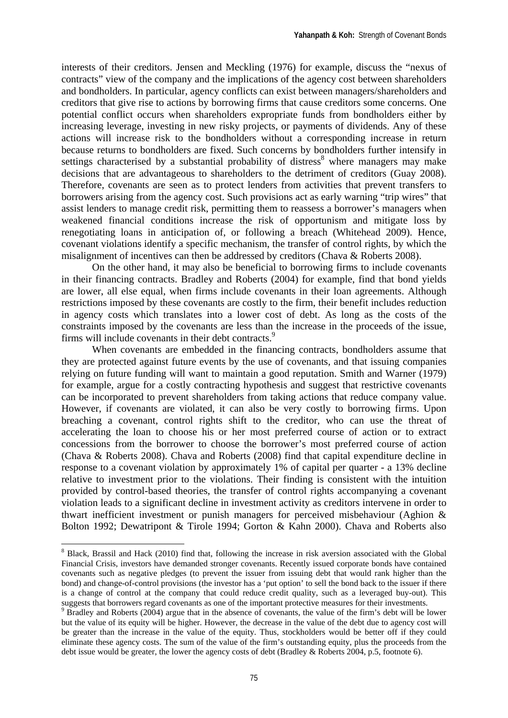interests of their creditors. Jensen and Meckling (1976) for example, discuss the "nexus of contracts" view of the company and the implications of the agency cost between shareholders and bondholders. In particular, agency conflicts can exist between managers/shareholders and creditors that give rise to actions by borrowing firms that cause creditors some concerns. One potential conflict occurs when shareholders expropriate funds from bondholders either by increasing leverage, investing in new risky projects, or payments of dividends. Any of these actions will increase risk to the bondholders without a corresponding increase in return because returns to bondholders are fixed. Such concerns by bondholders further intensify in settings characterised by a substantial probability of distress<sup>8</sup> where managers may make decisions that are advantageous to shareholders to the detriment of creditors (Guay 2008). Therefore, covenants are seen as to protect lenders from activities that prevent transfers to borrowers arising from the agency cost. Such provisions act as early warning "trip wires" that assist lenders to manage credit risk, permitting them to reassess a borrower's managers when weakened financial conditions increase the risk of opportunism and mitigate loss by renegotiating loans in anticipation of, or following a breach (Whitehead 2009). Hence, covenant violations identify a specific mechanism, the transfer of control rights, by which the misalignment of incentives can then be addressed by creditors (Chava & Roberts 2008).

On the other hand, it may also be beneficial to borrowing firms to include covenants in their financing contracts. Bradley and Roberts (2004) for example, find that bond yields are lower, all else equal, when firms include covenants in their loan agreements. Although restrictions imposed by these covenants are costly to the firm, their benefit includes reduction in agency costs which translates into a lower cost of debt. As long as the costs of the constraints imposed by the covenants are less than the increase in the proceeds of the issue, firms will include covenants in their debt contracts.<sup>9</sup>

When covenants are embedded in the financing contracts, bondholders assume that they are protected against future events by the use of covenants, and that issuing companies relying on future funding will want to maintain a good reputation. Smith and Warner (1979) for example, argue for a costly contracting hypothesis and suggest that restrictive covenants can be incorporated to prevent shareholders from taking actions that reduce company value. However, if covenants are violated, it can also be very costly to borrowing firms. Upon breaching a covenant, control rights shift to the creditor, who can use the threat of accelerating the loan to choose his or her most preferred course of action or to extract concessions from the borrower to choose the borrower's most preferred course of action (Chava & Roberts 2008). Chava and Roberts (2008) find that capital expenditure decline in response to a covenant violation by approximately 1% of capital per quarter - a 13% decline relative to investment prior to the violations. Their finding is consistent with the intuition provided by control-based theories, the transfer of control rights accompanying a covenant violation leads to a significant decline in investment activity as creditors intervene in order to thwart inefficient investment or punish managers for perceived misbehaviour (Aghion & Bolton 1992; Dewatripont & Tirole 1994; Gorton & Kahn 2000). Chava and Roberts also

<sup>&</sup>lt;sup>8</sup> Black, Brassil and Hack (2010) find that, following the increase in risk aversion associated with the Global Financial Crisis, investors have demanded stronger covenants. Recently issued corporate bonds have contained covenants such as negative pledges (to prevent the issuer from issuing debt that would rank higher than the bond) and change-of-control provisions (the investor has a 'put option' to sell the bond back to the issuer if there is a change of control at the company that could reduce credit quality, such as a leveraged buy-out). This suggests that borrowers regard covenants as one of the important protective measures for their investments.

<sup>&</sup>lt;sup>9</sup> Bradley and Roberts (2004) argue that in the absence of covenants, the value of the firm's debt will be lower but the value of its equity will be higher. However, the decrease in the value of the debt due to agency cost will be greater than the increase in the value of the equity. Thus, stockholders would be better off if they could eliminate these agency costs. The sum of the value of the firm's outstanding equity, plus the proceeds from the debt issue would be greater, the lower the agency costs of debt (Bradley & Roberts 2004, p.5, footnote 6).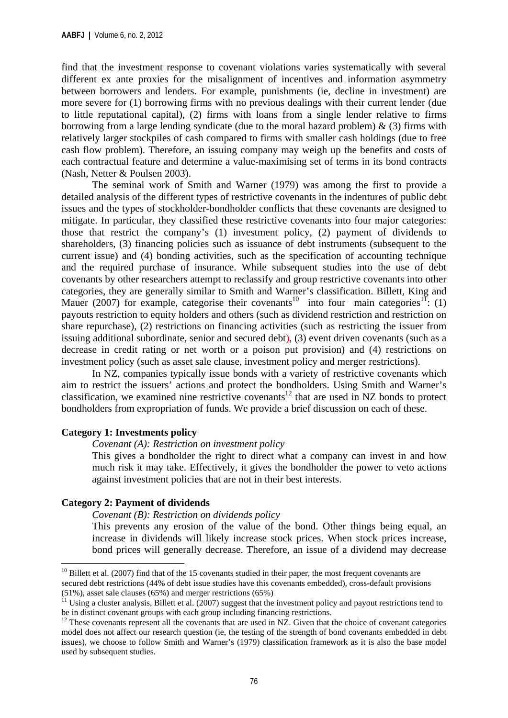find that the investment response to covenant violations varies systematically with several different ex ante proxies for the misalignment of incentives and information asymmetry between borrowers and lenders. For example, punishments (ie, decline in investment) are more severe for (1) borrowing firms with no previous dealings with their current lender (due to little reputational capital), (2) firms with loans from a single lender relative to firms borrowing from a large lending syndicate (due to the moral hazard problem)  $\&$  (3) firms with relatively larger stockpiles of cash compared to firms with smaller cash holdings (due to free cash flow problem). Therefore, an issuing company may weigh up the benefits and costs of each contractual feature and determine a value-maximising set of terms in its bond contracts (Nash, Netter & Poulsen 2003).

The seminal work of Smith and Warner (1979) was among the first to provide a detailed analysis of the different types of restrictive covenants in the indentures of public debt issues and the types of stockholder-bondholder conflicts that these covenants are designed to mitigate. In particular, they classified these restrictive covenants into four major categories: those that restrict the company's (1) investment policy, (2) payment of dividends to shareholders, (3) financing policies such as issuance of debt instruments (subsequent to the current issue) and (4) bonding activities, such as the specification of accounting technique and the required purchase of insurance. While subsequent studies into the use of debt covenants by other researchers attempt to reclassify and group restrictive covenants into other categories, they are generally similar to Smith and Warner's classification. Billett, King and Mauer (2007) for example, categorise their covenants<sup>10</sup> into four main categories<sup>11</sup>: (1) payouts restriction to equity holders and others (such as dividend restriction and restriction on share repurchase), (2) restrictions on financing activities (such as restricting the issuer from issuing additional subordinate, senior and secured debt), (3) event driven covenants (such as a decrease in credit rating or net worth or a poison put provision) and (4) restrictions on investment policy (such as asset sale clause, investment policy and merger restrictions).

In NZ, companies typically issue bonds with a variety of restrictive covenants which aim to restrict the issuers' actions and protect the bondholders. Using Smith and Warner's classification, we examined nine restrictive covenants<sup>12</sup> that are used in NZ bonds to protect bondholders from expropriation of funds. We provide a brief discussion on each of these.

#### **Category 1: Investments policy**

#### *Covenant (A): Restriction on investment policy*

This gives a bondholder the right to direct what a company can invest in and how much risk it may take. Effectively, it gives the bondholder the power to veto actions against investment policies that are not in their best interests.

#### **Category 2: Payment of dividends**

1

#### *Covenant (B): Restriction on dividends policy*

This prevents any erosion of the value of the bond. Other things being equal, an increase in dividends will likely increase stock prices. When stock prices increase, bond prices will generally decrease. Therefore, an issue of a dividend may decrease

 $10$  Billett et al. (2007) find that of the 15 covenants studied in their paper, the most frequent covenants are secured debt restrictions (44% of debt issue studies have this covenants embedded), cross-default provisions (51%), asset sale clauses (65%) and merger restrictions (65%)

 $11$  Using a cluster analysis, Billett et al. (2007) suggest that the investment policy and payout restrictions tend to be in distinct covenant groups with each group including financing restrictions.

<sup>&</sup>lt;sup>12</sup> These covenants represent all the covenants that are used in NZ. Given that the choice of covenant categories model does not affect our research question (ie, the testing of the strength of bond covenants embedded in debt issues), we choose to follow Smith and Warner's (1979) classification framework as it is also the base model used by subsequent studies.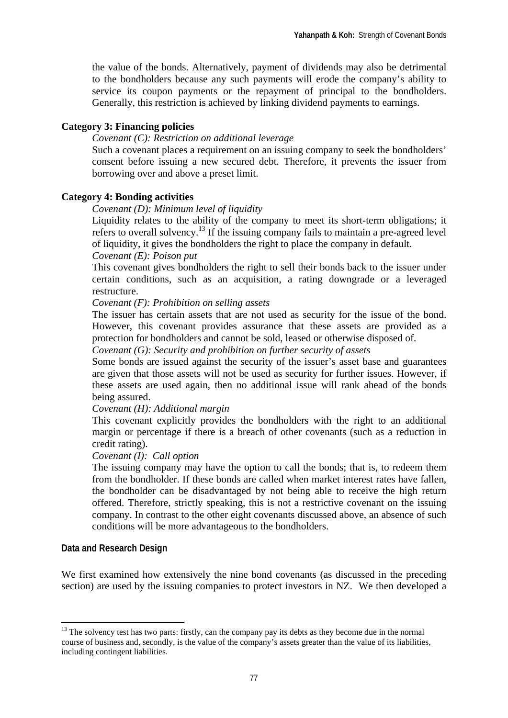the value of the bonds. Alternatively, payment of dividends may also be detrimental to the bondholders because any such payments will erode the company's ability to service its coupon payments or the repayment of principal to the bondholders. Generally, this restriction is achieved by linking dividend payments to earnings.

# **Category 3: Financing policies**

### *Covenant (C): Restriction on additional leverage*

Such a covenant places a requirement on an issuing company to seek the bondholders' consent before issuing a new secured debt. Therefore, it prevents the issuer from borrowing over and above a preset limit.

# **Category 4: Bonding activities**

#### *Covenant (D): Minimum level of liquidity*

Liquidity relates to the ability of the company to meet its short-term obligations; it refers to overall solvency.13 If the issuing company fails to maintain a pre-agreed level of liquidity, it gives the bondholders the right to place the company in default.

#### *Covenant (E): Poison put*

This covenant gives bondholders the right to sell their bonds back to the issuer under certain conditions, such as an acquisition, a rating downgrade or a leveraged restructure.

#### *Covenant (F): Prohibition on selling assets*

The issuer has certain assets that are not used as security for the issue of the bond. However, this covenant provides assurance that these assets are provided as a protection for bondholders and cannot be sold, leased or otherwise disposed of.

*Covenant (G): Security and prohibition on further security of assets* 

Some bonds are issued against the security of the issuer's asset base and guarantees are given that those assets will not be used as security for further issues. However, if these assets are used again, then no additional issue will rank ahead of the bonds being assured.

#### *Covenant (H): Additional margin*

This covenant explicitly provides the bondholders with the right to an additional margin or percentage if there is a breach of other covenants (such as a reduction in credit rating).

#### *Covenant (I): Call option*

The issuing company may have the option to call the bonds; that is, to redeem them from the bondholder. If these bonds are called when market interest rates have fallen, the bondholder can be disadvantaged by not being able to receive the high return offered. Therefore, strictly speaking, this is not a restrictive covenant on the issuing company. In contrast to the other eight covenants discussed above, an absence of such conditions will be more advantageous to the bondholders.

# **Data and Research Design**

1

We first examined how extensively the nine bond covenants (as discussed in the preceding section) are used by the issuing companies to protect investors in NZ. We then developed a

 $13$  The solvency test has two parts: firstly, can the company pay its debts as they become due in the normal course of business and, secondly, is the value of the company's assets greater than the value of its liabilities, including contingent liabilities.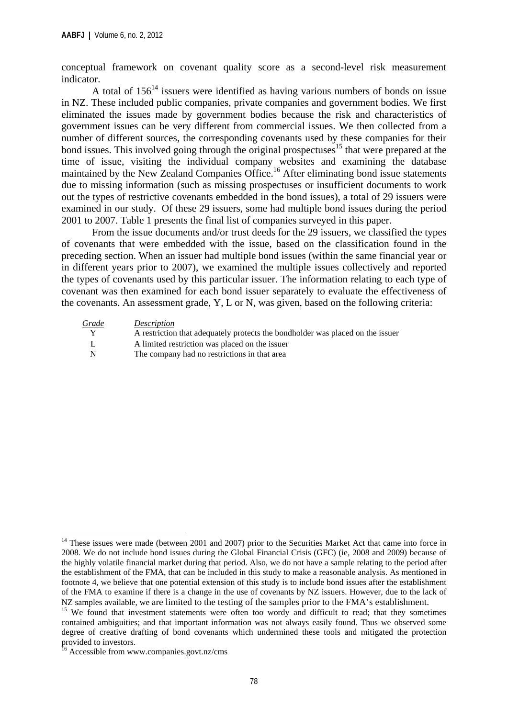conceptual framework on covenant quality score as a second-level risk measurement indicator.

A total of  $156<sup>14</sup>$  issuers were identified as having various numbers of bonds on issue in NZ. These included public companies, private companies and government bodies. We first eliminated the issues made by government bodies because the risk and characteristics of government issues can be very different from commercial issues. We then collected from a number of different sources, the corresponding covenants used by these companies for their bond issues. This involved going through the original prospectuses<sup>15</sup> that were prepared at the time of issue, visiting the individual company websites and examining the database maintained by the New Zealand Companies Office.<sup>16</sup> After eliminating bond issue statements due to missing information (such as missing prospectuses or insufficient documents to work out the types of restrictive covenants embedded in the bond issues), a total of 29 issuers were examined in our study. Of these 29 issuers, some had multiple bond issues during the period 2001 to 2007. Table 1 presents the final list of companies surveyed in this paper.

From the issue documents and/or trust deeds for the 29 issuers, we classified the types of covenants that were embedded with the issue, based on the classification found in the preceding section. When an issuer had multiple bond issues (within the same financial year or in different years prior to 2007), we examined the multiple issues collectively and reported the types of covenants used by this particular issuer. The information relating to each type of covenant was then examined for each bond issuer separately to evaluate the effectiveness of the covenants. An assessment grade, Y, L or N, was given, based on the following criteria:

| <u>Grade</u> | <i>Description</i>                                                             |
|--------------|--------------------------------------------------------------------------------|
| Y            | A restriction that adequately protects the bondholder was placed on the issuer |
|              | A limited restriction was placed on the issuer                                 |
| N            | The company had no restrictions in that area                                   |

<sup>&</sup>lt;sup>14</sup> These issues were made (between 2001 and 2007) prior to the Securities Market Act that came into force in 2008. We do not include bond issues during the Global Financial Crisis (GFC) (ie, 2008 and 2009) because of the highly volatile financial market during that period. Also, we do not have a sample relating to the period after the establishment of the FMA, that can be included in this study to make a reasonable analysis. As mentioned in footnote 4, we believe that one potential extension of this study is to include bond issues after the establishment of the FMA to examine if there is a change in the use of covenants by NZ issuers. However, due to the lack of NZ samples available, we are limited to the testing of the samples prior to the FMA's establishment.<br><sup>15</sup> We found that investment statements were often too wordy and difficult to read; that they sometimes

contained ambiguities; and that important information was not always easily found. Thus we observed some degree of creative drafting of bond covenants which undermined these tools and mitigated the protection provided to investors.

<sup>&</sup>lt;sup>16</sup> Accessible from www.companies.govt.nz/cms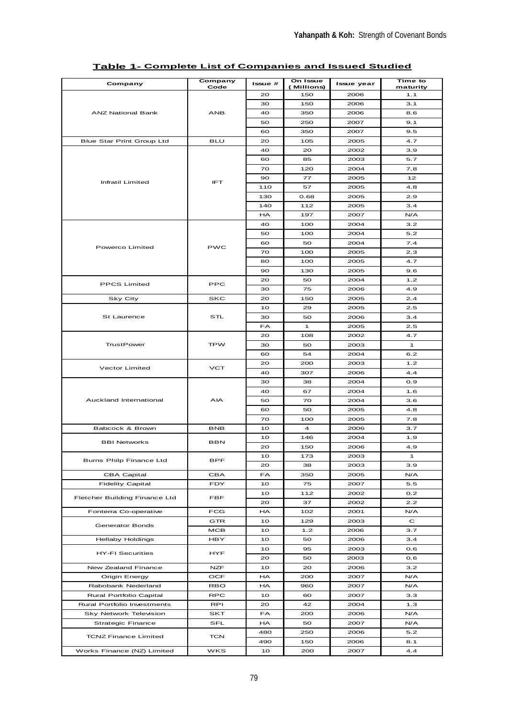| Company                       | Company    | Issue #   | On Issue           | <b>Issue year</b> | Time to         |
|-------------------------------|------------|-----------|--------------------|-------------------|-----------------|
|                               | Code       | 20        | ( Millions)<br>150 | 2006              | maturity<br>1.1 |
|                               |            | 30        | 150                | 2006              | 3.1             |
| <b>ANZ National Bank</b>      | <b>ANB</b> | 40        | 350                | 2006              | 8.6             |
|                               |            | 50        | 250                | 2007              | 9.1             |
|                               |            | 60        | 350                | 2007              | 9.5             |
| Blue Star Print Group Ltd     | BLU        | 20        | 105                | 2005              | 4.7             |
|                               |            | 40        | 20                 | 2002              | 3.9             |
|                               |            | 60        | 85                 | 2003              | 5.7             |
|                               |            | 70        | 120                | 2004              | 7.8             |
|                               |            | 90        | 77                 | 2005              | 12              |
| Infratil Limited              | <b>IFT</b> | 110       | 57                 | 2005              | 4.8             |
|                               |            | 130       | 0.68               | 2005              | 2.9             |
|                               |            | 140       | 112                | 2005              | 3.4             |
|                               |            | HA        | 197                | 2007              | N/A             |
|                               |            | 40        | 100                | 2004              | 3.2             |
|                               |            | 50        | 100                | 2004              | 5.2             |
|                               |            | 60        | 50                 | 2004              | 7.4             |
| Powerco Limited               | <b>PWC</b> | 70        | 100                | 2005              | 2.3             |
|                               |            | 80        | 100                | 2005              | 4.7             |
|                               |            | 90        | 130                | 2005              | 9.6             |
|                               |            | 20        | 50                 | 2004              | 1.2             |
| <b>PPCS Limited</b>           | PPC        | 30        | 75                 | 2006              | 4.9             |
| Sky City                      | <b>SKC</b> | 20        | 150                | 2005              | 2.4             |
|                               |            | 10        | 29                 | 2005              | 2.5             |
| St Laurence                   | STL        | 30        | 50                 | 2006              | 3.4             |
|                               |            | FA        | 1                  | 2005              | 2.5             |
|                               |            | 20        | 108                | 2002              | 4.7             |
| TrustPower                    | <b>TPW</b> |           |                    |                   |                 |
|                               |            | 30        | 50                 | 2003              | $\mathbf{1}$    |
|                               |            | 60        | 54                 | 2004              | 6.2             |
| Vector Limited                | <b>VCT</b> | 20        | 200                | 2003              | 1.2             |
|                               |            | 40        | 307                | 2006              | 4.4             |
|                               |            | 30        | 38                 | 2004              | O.9             |
|                               |            | 40        | 67                 | 2004              | 1.6             |
| Auckland International        | AIA        | 50        | 70                 | 2004              | 3.6             |
|                               |            | 60        | 50                 | 2005              | 4.8             |
|                               |            | 70        | 100                | 2005              | 7.8             |
| Babcock & Brown               | <b>BNB</b> | 10        | 4                  | 2006              | 3.7             |
| <b>BBI Networks</b>           | <b>BBN</b> | 10        | 146                | 2004              | 1.9             |
|                               |            | 20        | 150                | 2006              | 4.9             |
| Burns Philp Finance Ltd       | BPF        | 10        | 173                | 2003              | $\mathbf{1}$    |
|                               |            | 20        | 38                 | 2003              | 3.9             |
| <b>CBA Capital</b>            | <b>CBA</b> | FA        | 350                | 2005              | N/A             |
| <b>Fidelity Capital</b>       | FDY        | 10        | 75                 | 2007              | 5.5             |
| Fletcher Building Finance Ltd | FBF        | 10        | 112                | 2002              | 0.2             |
|                               |            | 20        | 37                 | 2002              | 2.2             |
| Fonterra Co-operative         | <b>FCG</b> | HA        | 102                | 2001              | N/A             |
| Generator Bonds               | GTR        | 10        | 129                | 2003              | C               |
|                               | MCB        | 10        | 1.2                | 2006              | 3.7             |
| <b>Hellaby Holdings</b>       | <b>HBY</b> | 10        | 50                 | 2006              | 3.4             |
| <b>HY-FI Securities</b>       | <b>HYF</b> | 10        | 95                 | 2003              | 0.6             |
|                               |            | 20        | 50                 | 2003              | 0.6             |
| New Zealand Finance           | <b>NZF</b> | 10        | 20                 | 2006              | 3.2             |
| Origin Energy                 | OCF        | <b>HA</b> | 200                | 2007              | N/A             |
| Rabobank Nederland            | <b>RBO</b> | НA        | 960                | 2007              | N/A             |
| Rural Portfolio Capital       | RPC        | 10        | 60                 | 2007              | 3.3             |
| Rural Portfolio Investments   | <b>RPI</b> | 20        | 42                 | 2004              | 1.3             |
| Sky Network Television        | SKT        | FA        | 200                | 2006              | N/A             |
| Strategic Finance             | SFL        | HA        | 50                 | 2007              | N/A             |
| <b>TCNZ Finance Limited</b>   | <b>TCN</b> | 480       | 250                | 2006              | 5.2             |
|                               |            | 490       | 150                | 2006              | 8.1             |
| Works Finance (NZ) Limited    | WKS        | 10        | 200                | 2007              | 4.4             |

**Table 1- Complete List of Companies and Issued Studied**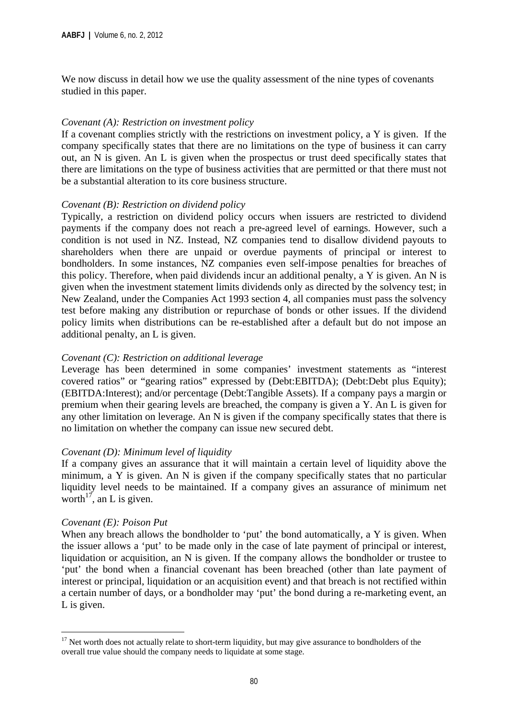We now discuss in detail how we use the quality assessment of the nine types of covenants studied in this paper.

# *Covenant (A): Restriction on investment policy*

If a covenant complies strictly with the restrictions on investment policy, a Y is given. If the company specifically states that there are no limitations on the type of business it can carry out, an N is given. An L is given when the prospectus or trust deed specifically states that there are limitations on the type of business activities that are permitted or that there must not be a substantial alteration to its core business structure.

# *Covenant (B): Restriction on dividend policy*

Typically, a restriction on dividend policy occurs when issuers are restricted to dividend payments if the company does not reach a pre-agreed level of earnings. However, such a condition is not used in NZ. Instead, NZ companies tend to disallow dividend payouts to shareholders when there are unpaid or overdue payments of principal or interest to bondholders. In some instances, NZ companies even self-impose penalties for breaches of this policy. Therefore, when paid dividends incur an additional penalty, a Y is given. An N is given when the investment statement limits dividends only as directed by the solvency test; in New Zealand, under the Companies Act 1993 section 4, all companies must pass the solvency test before making any distribution or repurchase of bonds or other issues. If the dividend policy limits when distributions can be re-established after a default but do not impose an additional penalty, an L is given.

# *Covenant (C): Restriction on additional leverage*

Leverage has been determined in some companies' investment statements as "interest covered ratios" or "gearing ratios" expressed by (Debt:EBITDA); (Debt:Debt plus Equity); (EBITDA:Interest); and/or percentage (Debt:Tangible Assets). If a company pays a margin or premium when their gearing levels are breached, the company is given a Y. An L is given for any other limitation on leverage. An N is given if the company specifically states that there is no limitation on whether the company can issue new secured debt.

# *Covenant (D): Minimum level of liquidity*

If a company gives an assurance that it will maintain a certain level of liquidity above the minimum, a Y is given. An N is given if the company specifically states that no particular liquidity level needs to be maintained. If a company gives an assurance of minimum net worth<sup>17</sup>, an L is given.

# *Covenant (E): Poison Put*

1

When any breach allows the bondholder to 'put' the bond automatically, a Y is given. When the issuer allows a 'put' to be made only in the case of late payment of principal or interest, liquidation or acquisition, an N is given. If the company allows the bondholder or trustee to 'put' the bond when a financial covenant has been breached (other than late payment of interest or principal, liquidation or an acquisition event) and that breach is not rectified within a certain number of days, or a bondholder may 'put' the bond during a re-marketing event, an L is given.

<sup>&</sup>lt;sup>17</sup> Net worth does not actually relate to short-term liquidity, but may give assurance to bondholders of the overall true value should the company needs to liquidate at some stage.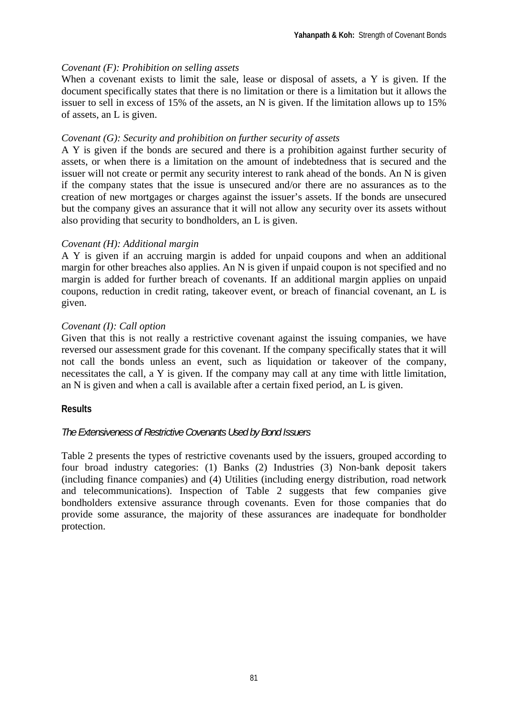# *Covenant (F): Prohibition on selling assets*

When a covenant exists to limit the sale, lease or disposal of assets, a Y is given. If the document specifically states that there is no limitation or there is a limitation but it allows the issuer to sell in excess of 15% of the assets, an N is given. If the limitation allows up to 15% of assets, an L is given.

# *Covenant (G): Security and prohibition on further security of assets*

A Y is given if the bonds are secured and there is a prohibition against further security of assets, or when there is a limitation on the amount of indebtedness that is secured and the issuer will not create or permit any security interest to rank ahead of the bonds. An N is given if the company states that the issue is unsecured and/or there are no assurances as to the creation of new mortgages or charges against the issuer's assets. If the bonds are unsecured but the company gives an assurance that it will not allow any security over its assets without also providing that security to bondholders, an L is given.

# *Covenant (H): Additional margin*

A Y is given if an accruing margin is added for unpaid coupons and when an additional margin for other breaches also applies. An N is given if unpaid coupon is not specified and no margin is added for further breach of covenants. If an additional margin applies on unpaid coupons, reduction in credit rating, takeover event, or breach of financial covenant, an L is given.

# *Covenant (I): Call option*

Given that this is not really a restrictive covenant against the issuing companies, we have reversed our assessment grade for this covenant. If the company specifically states that it will not call the bonds unless an event, such as liquidation or takeover of the company, necessitates the call, a Y is given. If the company may call at any time with little limitation, an N is given and when a call is available after a certain fixed period, an L is given.

# **Results**

# *The Extensiveness of Restrictive Covenants Used by Bond Issuers*

Table 2 presents the types of restrictive covenants used by the issuers, grouped according to four broad industry categories: (1) Banks (2) Industries (3) Non-bank deposit takers (including finance companies) and (4) Utilities (including energy distribution, road network and telecommunications). Inspection of Table 2 suggests that few companies give bondholders extensive assurance through covenants. Even for those companies that do provide some assurance, the majority of these assurances are inadequate for bondholder protection.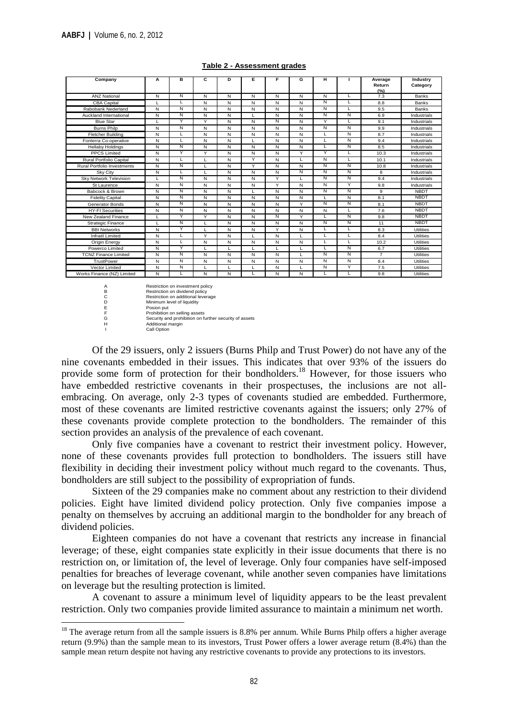| Company                            | A | в  | С | D | Е | F            | G | н |   | Average<br>Return<br>(%) | Industry<br>Category |
|------------------------------------|---|----|---|---|---|--------------|---|---|---|--------------------------|----------------------|
| <b>ANZ National</b>                | N | N  | N | N | N | N            | N | N |   | 7.3                      | <b>Banks</b>         |
| <b>CBA Capital</b>                 | L | L  | N | N | N | N            | N | N | L | 8.8                      | <b>Banks</b>         |
| Rabobank Nederland                 | N | N  | N | N | N | N            | N | N | L | 9.5                      | <b>Banks</b>         |
| Auckland International             | N | N  | N | N |   | N            | N | N | Ñ | 6.9                      | Industrials          |
| <b>Blue Star</b>                   | L | Y  | Y | N | N | Ν            | N | Y | L | 9.1                      | Industrials          |
| <b>Burns Philp</b>                 | N | N  | N | N | N | N            | N | Ñ | Ñ | 9.9                      | Industrials          |
| <b>Fletcher Building</b>           | N | L  | N | N | N | N            | N | L | N | 8.7                      | Industrials          |
| Fonterra Co-operative              | N |    | N | N |   | N            | N | L | N | 9.4                      | Industrials          |
| <b>Hellaby Holdings</b>            | N | N  | N | N | N | N            | N | L | N | 8.5                      | Industrials          |
| <b>PPCS Limited</b>                | N | Y  | Y | N | N | N            | Y | Y | L | 10.3                     | Industrials          |
| Rural Portfolio Capital            | N | L  |   | N | Y | N            | L | N | L | 10.1                     | Industrials          |
| <b>Rural Portfolio Investments</b> | N | Ν  | т | N | Y | N            | N | Ñ | N | 10.8                     | Industrials          |
| <b>Sky City</b>                    | N | L  |   | N | N | N            | Ñ | N | N | 8                        | Industrials          |
| <b>Sky Network Television</b>      | L | N  | N | N | N | Y            | L | N | N | 9.4                      | Industrials          |
| St Laurence                        | N | N  | N | N | N | $\checkmark$ | N | N | Y | 9.8                      | Industrials          |
| Babcock & Brown                    | N | N  | N | N |   | N            | N | N | N | 9                        | <b>NBDT</b>          |
| <b>Fidelity Capital</b>            | N | N  | N | N | N | N            | N | L | N | 8.1                      | <b>NBDT</b>          |
| <b>Generator Bonds</b>             | N | N  | N | N | N | N            | Y | N | N | 8.1                      | <b>NBDT</b>          |
| <b>HY-FI Securities</b>            | N | N  | N | N | N | N            | N | N | L | 7.6                      | <b>NBDT</b>          |
| New Zealand Finance                |   | Y  | Y | N | N | N            | Y | L | N | 9.8                      | <b>NBDT</b>          |
| <b>Strategic Finance</b>           | L | N  | L | N | N | N            | N | N | N | 11                       | <b>NBDT</b>          |
| <b>BBI Networks</b>                | N | Y  | п | N | N | v            | N | L | L | 8.3                      | Utilities            |
| <b>Infratil Limited</b>            | N | L  | Y | N |   | N            | L | L | L | 8.4                      | <b>Utilities</b>     |
| Origin Energy                      | N | л. | N | N | N | N            | N | L | L | 10.2                     | <b>Utilities</b>     |
| Powerco Limited                    | N | Y  |   | т |   |              | т | L | N | 6.7                      | Utilities            |
| <b>TCNZ Finance Limited</b>        | N | N  | N | N | N | N            | L | Ñ | N | $\overline{7}$           | Utilities            |
| TrustPower                         | N | N  | N | N | N | N            | N | N | N | 8.4                      | Utilities            |
| Vector Limited                     | N | N  |   | L |   | N            |   | N | Y | 7.5                      | Utilities            |
| Works Finance (NZ) Limited         | N | L  | N | N | L | N            | N | L | L | 9.8                      | <b>Utilities</b>     |

#### **Table 2 - Assessment grades**

1

A Restriction on investment policy<br>
B Restriction on dividend policy<br>
C Restriction on additional leverary<br>
D Minimum level of liquidity Bestriction on dividend policy Restriction on additional leverage D<br>
E<br>
Posion put<br>
Prohibition on selling ass<br>
Prohibition on selling ass E Posion put F Prohibition on selling assets G Security and prohibition on further security of assets Additional margin Call Option

Of the 29 issuers, only 2 issuers (Burns Philp and Trust Power) do not have any of the nine covenants embedded in their issues. This indicates that over 93% of the issuers do provide some form of protection for their bondholders.18 However, for those issuers who have embedded restrictive covenants in their prospectuses, the inclusions are not allembracing. On average, only 2-3 types of covenants studied are embedded. Furthermore, most of these covenants are limited restrictive covenants against the issuers; only 27% of these covenants provide complete protection to the bondholders. The remainder of this section provides an analysis of the prevalence of each covenant.

Only five companies have a covenant to restrict their investment policy. However, none of these covenants provides full protection to bondholders. The issuers still have flexibility in deciding their investment policy without much regard to the covenants. Thus, bondholders are still subject to the possibility of expropriation of funds.

Sixteen of the 29 companies make no comment about any restriction to their dividend policies. Eight have limited dividend policy protection. Only five companies impose a penalty on themselves by accruing an additional margin to the bondholder for any breach of dividend policies.

Eighteen companies do not have a covenant that restricts any increase in financial leverage; of these, eight companies state explicitly in their issue documents that there is no restriction on, or limitation of, the level of leverage. Only four companies have self-imposed penalties for breaches of leverage covenant, while another seven companies have limitations on leverage but the resulting protection is limited.

A covenant to assure a minimum level of liquidity appears to be the least prevalent restriction. Only two companies provide limited assurance to maintain a minimum net worth.

<sup>&</sup>lt;sup>18</sup> The average return from all the sample issuers is 8.8% per annum. While Burns Philp offers a higher average return (9.9%) than the sample mean to its investors, Trust Power offers a lower average return (8.4%) than the sample mean return despite not having any restrictive covenants to provide any protections to its investors.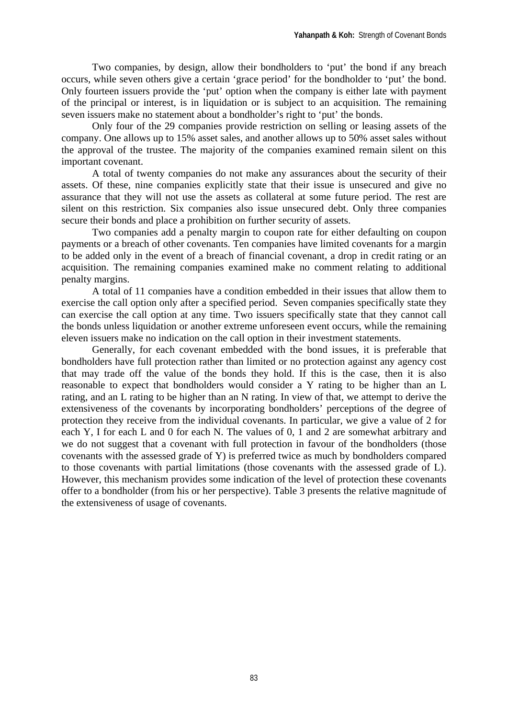Two companies, by design, allow their bondholders to 'put' the bond if any breach occurs, while seven others give a certain 'grace period' for the bondholder to 'put' the bond. Only fourteen issuers provide the 'put' option when the company is either late with payment of the principal or interest, is in liquidation or is subject to an acquisition. The remaining seven issuers make no statement about a bondholder's right to 'put' the bonds.

Only four of the 29 companies provide restriction on selling or leasing assets of the company. One allows up to 15% asset sales, and another allows up to 50% asset sales without the approval of the trustee. The majority of the companies examined remain silent on this important covenant.

A total of twenty companies do not make any assurances about the security of their assets. Of these, nine companies explicitly state that their issue is unsecured and give no assurance that they will not use the assets as collateral at some future period. The rest are silent on this restriction. Six companies also issue unsecured debt. Only three companies secure their bonds and place a prohibition on further security of assets.

Two companies add a penalty margin to coupon rate for either defaulting on coupon payments or a breach of other covenants. Ten companies have limited covenants for a margin to be added only in the event of a breach of financial covenant, a drop in credit rating or an acquisition. The remaining companies examined make no comment relating to additional penalty margins.

A total of 11 companies have a condition embedded in their issues that allow them to exercise the call option only after a specified period. Seven companies specifically state they can exercise the call option at any time. Two issuers specifically state that they cannot call the bonds unless liquidation or another extreme unforeseen event occurs, while the remaining eleven issuers make no indication on the call option in their investment statements.

Generally, for each covenant embedded with the bond issues, it is preferable that bondholders have full protection rather than limited or no protection against any agency cost that may trade off the value of the bonds they hold. If this is the case, then it is also reasonable to expect that bondholders would consider a Y rating to be higher than an L rating, and an L rating to be higher than an N rating. In view of that, we attempt to derive the extensiveness of the covenants by incorporating bondholders' perceptions of the degree of protection they receive from the individual covenants. In particular, we give a value of 2 for each Y, I for each L and 0 for each N. The values of 0, 1 and 2 are somewhat arbitrary and we do not suggest that a covenant with full protection in favour of the bondholders (those covenants with the assessed grade of Y) is preferred twice as much by bondholders compared to those covenants with partial limitations (those covenants with the assessed grade of L). However, this mechanism provides some indication of the level of protection these covenants offer to a bondholder (from his or her perspective). Table 3 presents the relative magnitude of the extensiveness of usage of covenants.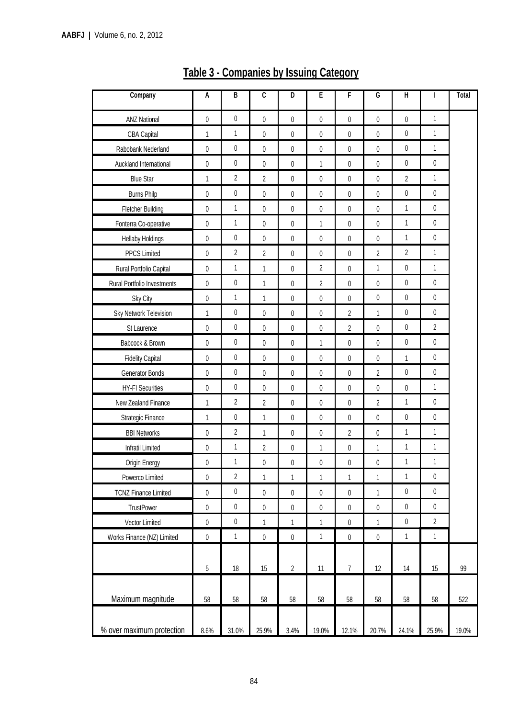| Company                     | $\overline{A}$ | B                       | $\overline{\mathfrak{c}}$ | D            | Έ              | F              | G              | $\overline{H}$ | I              | <b>Total</b> |
|-----------------------------|----------------|-------------------------|---------------------------|--------------|----------------|----------------|----------------|----------------|----------------|--------------|
| <b>ANZ National</b>         | $\pmb{0}$      | 0                       | 0                         | $\pmb{0}$    | $\pmb{0}$      | $\pmb{0}$      | $\pmb{0}$      | $\pmb{0}$      | 1              |              |
| <b>CBA Capital</b>          | $\mathbf 1$    | $\mathbf{1}$            | 0                         | 0            | 0              | 0              | $\pmb{0}$      | $\pmb{0}$      | $\mathbf{1}$   |              |
| Rabobank Nederland          | 0              | $\pmb{0}$               | 0                         | 0            | 0              | $\pmb{0}$      | $\pmb{0}$      | $\pmb{0}$      | $\mathbf{1}$   |              |
| Auckland International      | 0              | $\pmb{0}$               | 0                         | 0            | $\mathbf 1$    | $\pmb{0}$      | $\pmb{0}$      | $\pmb{0}$      | $\pmb{0}$      |              |
| <b>Blue Star</b>            | $\mathbf{1}$   | $\overline{2}$          | $\overline{2}$            | 0            | $\pmb{0}$      | $\pmb{0}$      | $\pmb{0}$      | $\overline{2}$ | $\mathbf{1}$   |              |
| <b>Burns Philp</b>          | 0              | $\pmb{0}$               | 0                         | $\pmb{0}$    | 0              | $\pmb{0}$      | $\pmb{0}$      | $\pmb{0}$      | 0              |              |
| <b>Fletcher Building</b>    | $\pmb{0}$      | $\mathbf{1}$            | 0                         | 0            | $\pmb{0}$      | $\pmb{0}$      | $\pmb{0}$      | $\mathbf{1}$   | 0              |              |
| Fonterra Co-operative       | 0              | $\mathbf{1}$            | 0                         | 0            | 1              | $\pmb{0}$      | $\pmb{0}$      | $\mathbf{1}$   | 0              |              |
| <b>Hellaby Holdings</b>     | $\pmb{0}$      | $\pmb{0}$               | $\mathbf{0}$              | 0            | 0              | $\pmb{0}$      | $\pmb{0}$      | $\mathbf{1}$   | 0              |              |
| PPCS Limited                | 0              | $\overline{2}$          | $\overline{2}$            | 0            | 0              | $\pmb{0}$      | $\overline{2}$ | $\overline{2}$ | 1              |              |
| Rural Portfolio Capital     | $\pmb{0}$      | $\mathbf{1}$            | $\mathbf{1}$              | 0            | $\overline{2}$ | $\pmb{0}$      | 1              | $\pmb{0}$      | $\mathbf 1$    |              |
| Rural Portfolio Investments | 0              | 0                       | $\mathbf{1}$              | 0            | 2              | $\pmb{0}$      | $\pmb{0}$      | $\pmb{0}$      | $\pmb{0}$      |              |
| Sky City                    | $\pmb{0}$      | 1                       | $\mathbf{1}$              | 0            | $\pmb{0}$      | $\pmb{0}$      | $\pmb{0}$      | $\pmb{0}$      | 0              |              |
| Sky Network Television      | 1              | 0                       | 0                         | 0            | 0              | $\overline{2}$ | 1              | $\pmb{0}$      | $\pmb{0}$      |              |
| St Laurence                 | 0              | 0                       | 0                         | 0            | 0              | $\overline{2}$ | $\pmb{0}$      | $\pmb{0}$      | $\overline{c}$ |              |
| Babcock & Brown             | 0              | 0                       | 0                         | 0            | $\mathbf 1$    | $\pmb{0}$      | $\pmb{0}$      | $\pmb{0}$      | $\pmb{0}$      |              |
| <b>Fidelity Capital</b>     | 0              | $\pmb{0}$               | 0                         | 0            | 0              | $\pmb{0}$      | $\pmb{0}$      | $\mathbf{1}$   | $\pmb{0}$      |              |
| Generator Bonds             | 0              | $\pmb{0}$               | 0                         | $\pmb{0}$    | $\pmb{0}$      | $\pmb{0}$      | $\overline{2}$ | $\pmb{0}$      | $\pmb{0}$      |              |
| <b>HY-FI Securities</b>     | $\pmb{0}$      | $\pmb{0}$               | 0                         | 0            | $\pmb{0}$      | $\pmb{0}$      | $\pmb{0}$      | $\pmb{0}$      | $\mathbf{1}$   |              |
| New Zealand Finance         | 1              | $\overline{2}$          | $\overline{2}$            | 0            | 0              | 0              | $\overline{2}$ | $\mathbf{1}$   | 0              |              |
| Strategic Finance           | $\mathbf{1}$   | $\pmb{0}$               | 1                         | 0            | 0              | $\pmb{0}$      | 0              | $\pmb{0}$      | $\pmb{0}$      |              |
| <b>BBI Networks</b>         | $\pmb{0}$      | $\overline{2}$          | $\mathbf{1}$              | 0            | $\pmb{0}$      | $\overline{2}$ | 0              | $\mathbf{1}$   | $\mathbf{1}$   |              |
| Infratil Limited            | 0              | $\mathbf{1}$            | $\overline{2}$            | 0            | 1              | $\pmb{0}$      | 1              | $\mathbf{1}$   | $\mathbf{1}$   |              |
| Origin Energy               | $\pmb{0}$      | 1                       | $\pmb{0}$                 | 0            | $\pmb{0}$      | $\pmb{0}$      | $\pmb{0}$      | 1              | $\mathbf 1$    |              |
| Powerco Limited             | $\pmb{0}$      | $\overline{\mathbf{c}}$ | $\mathbf{1}$              | 1            | $\mathbf{1}$   | $\mathbf 1$    | $\mathbf 1$    | $\mathbf{1}$   | $\pmb{0}$      |              |
| <b>TCNZ Finance Limited</b> | 0              | 0                       | 0                         | $\pmb{0}$    | $\pmb{0}$      | $\pmb{0}$      | 1              | $\pmb{0}$      | 0              |              |
| <b>TrustPower</b>           | $\pmb{0}$      | $\pmb{0}$               | 0                         | 0            | $\pmb{0}$      | 0              | 0              | $\pmb{0}$      | 0              |              |
| Vector Limited              | $\pmb{0}$      | $\pmb{0}$               | $\mathbf{1}$              | $\mathbf{1}$ | $\mathbf{1}$   | $\pmb{0}$      | $\mathbf{1}$   | $\pmb{0}$      | $\overline{c}$ |              |
| Works Finance (NZ) Limited  | $\pmb{0}$      | $\mathbf{1}$            | $\pmb{0}$                 | $\pmb{0}$    | $\mathbf 1$    | $\pmb{0}$      | $\pmb{0}$      | $\mathbf{1}$   | $\mathbf{1}$   |              |
|                             | 5              | 18                      | 15                        | $\sqrt{2}$   | 11             | $\overline{7}$ | 12             | 14             | 15             | 99           |
| Maximum magnitude           | 58             | 58                      | 58                        | 58           | 58             | 58             | 58             | 58             | 58             | 522          |
| % over maximum protection   | 8.6%           | 31.0%                   | 25.9%                     | 3.4%         | 19.0%          | 12.1%          | 20.7%          | 24.1%          | 25.9%          | 19.0%        |

# **Table 3 - Companies by Issuing Category**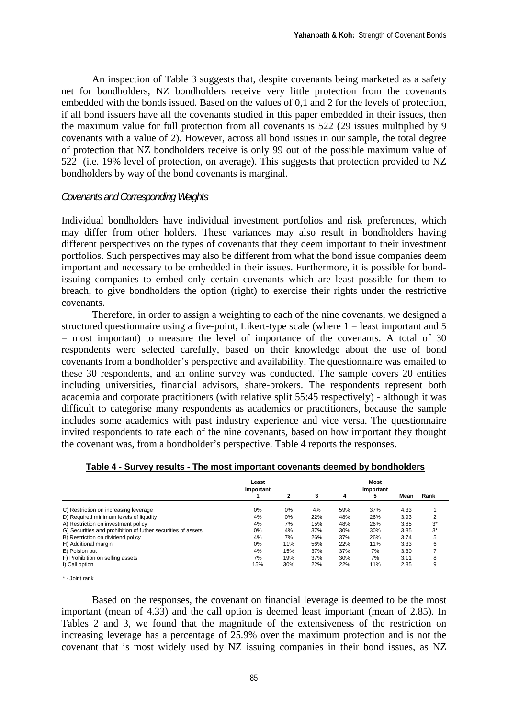An inspection of Table 3 suggests that, despite covenants being marketed as a safety net for bondholders, NZ bondholders receive very little protection from the covenants embedded with the bonds issued. Based on the values of 0,1 and 2 for the levels of protection, if all bond issuers have all the covenants studied in this paper embedded in their issues, then the maximum value for full protection from all covenants is 522 (29 issues multiplied by 9 covenants with a value of 2). However, across all bond issues in our sample, the total degree of protection that NZ bondholders receive is only 99 out of the possible maximum value of 522 (i.e. 19% level of protection, on average). This suggests that protection provided to NZ bondholders by way of the bond covenants is marginal.

#### *Covenants and Corresponding Weights*

Individual bondholders have individual investment portfolios and risk preferences, which may differ from other holders. These variances may also result in bondholders having different perspectives on the types of covenants that they deem important to their investment portfolios. Such perspectives may also be different from what the bond issue companies deem important and necessary to be embedded in their issues. Furthermore, it is possible for bondissuing companies to embed only certain covenants which are least possible for them to breach, to give bondholders the option (right) to exercise their rights under the restrictive covenants.

Therefore, in order to assign a weighting to each of the nine covenants, we designed a structured questionnaire using a five-point, Likert-type scale (where  $1 =$  least important and 5  $=$  most important) to measure the level of importance of the covenants. A total of 30 respondents were selected carefully, based on their knowledge about the use of bond covenants from a bondholder's perspective and availability. The questionnaire was emailed to these 30 respondents, and an online survey was conducted. The sample covers 20 entities including universities, financial advisors, share-brokers. The respondents represent both academia and corporate practitioners (with relative split 55:45 respectively) - although it was difficult to categorise many respondents as academics or practitioners, because the sample includes some academics with past industry experience and vice versa. The questionnaire invited respondents to rate each of the nine covenants, based on how important they thought the covenant was, from a bondholder's perspective. Table 4 reports the responses.

|                                                              | Least     |       |     |     | <b>Most</b> |      |       |
|--------------------------------------------------------------|-----------|-------|-----|-----|-------------|------|-------|
|                                                              | Important |       |     |     | Important   |      |       |
|                                                              |           | ŋ     |     |     | n           | Mean | Rank  |
| C) Restriction on increasing leverage                        | 0%        | 0%    | 4%  | 59% | 37%         | 4.33 |       |
| D) Required minimum levels of liqudity                       | 4%        | $0\%$ | 22% | 48% | 26%         | 3.93 |       |
| A) Restriction on investment policy                          | 4%        | 7%    | 15% | 48% | 26%         | 3.85 | $3^*$ |
| G) Securities and prohibition of futher securities of assets | 0%        | 4%    | 37% | 30% | 30%         | 3.85 | $3^*$ |
| B) Restriction on dividend policy                            | 4%        | 7%    | 26% | 37% | 26%         | 3.74 |       |
| H) Additional margin                                         | 0%        | 11%   | 56% | 22% | 11%         | 3.33 | 6     |
| E) Poision put                                               | 4%        | 15%   | 37% | 37% | 7%          | 3.30 |       |
| F) Prohibition on selling assets                             | 7%        | 19%   | 37% | 30% | 7%          | 3.11 | 8     |
| I) Call option                                               | 15%       | 30%   | 22% | 22% | 11%         | 2.85 | 9     |

|  | Table 4 - Survey results - The most important covenants deemed by bondholders |  |  |  |  |  |
|--|-------------------------------------------------------------------------------|--|--|--|--|--|
|--|-------------------------------------------------------------------------------|--|--|--|--|--|

\* - Joint rank

Based on the responses, the covenant on financial leverage is deemed to be the most important (mean of 4.33) and the call option is deemed least important (mean of 2.85). In Tables 2 and 3, we found that the magnitude of the extensiveness of the restriction on increasing leverage has a percentage of 25.9% over the maximum protection and is not the covenant that is most widely used by NZ issuing companies in their bond issues, as NZ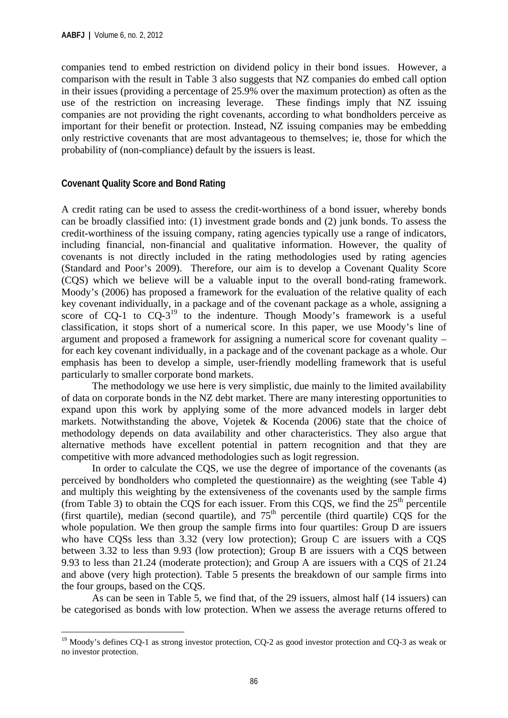1

companies tend to embed restriction on dividend policy in their bond issues. However, a comparison with the result in Table 3 also suggests that NZ companies do embed call option in their issues (providing a percentage of 25.9% over the maximum protection) as often as the use of the restriction on increasing leverage. These findings imply that NZ issuing companies are not providing the right covenants, according to what bondholders perceive as important for their benefit or protection. Instead, NZ issuing companies may be embedding only restrictive covenants that are most advantageous to themselves; ie, those for which the probability of (non-compliance) default by the issuers is least.

#### **Covenant Quality Score and Bond Rating**

A credit rating can be used to assess the credit-worthiness of a bond issuer, whereby bonds can be broadly classified into: (1) investment grade bonds and (2) junk bonds. To assess the credit-worthiness of the issuing company, rating agencies typically use a range of indicators, including financial, non-financial and qualitative information. However, the quality of covenants is not directly included in the rating methodologies used by rating agencies (Standard and Poor's 2009). Therefore, our aim is to develop a Covenant Quality Score (CQS) which we believe will be a valuable input to the overall bond-rating framework. Moody's (2006) has proposed a framework for the evaluation of the relative quality of each key covenant individually, in a package and of the covenant package as a whole, assigning a score of CQ-1 to  $CQ-3^{19}$  to the indenture. Though Moody's framework is a useful classification, it stops short of a numerical score. In this paper, we use Moody's line of argument and proposed a framework for assigning a numerical score for covenant quality – for each key covenant individually, in a package and of the covenant package as a whole. Our emphasis has been to develop a simple, user-friendly modelling framework that is useful particularly to smaller corporate bond markets.

The methodology we use here is very simplistic, due mainly to the limited availability of data on corporate bonds in the NZ debt market. There are many interesting opportunities to expand upon this work by applying some of the more advanced models in larger debt markets. Notwithstanding the above, Vojetek & Kocenda (2006) state that the choice of methodology depends on data availability and other characteristics. They also argue that alternative methods have excellent potential in pattern recognition and that they are competitive with more advanced methodologies such as logit regression.

In order to calculate the CQS, we use the degree of importance of the covenants (as perceived by bondholders who completed the questionnaire) as the weighting (see Table 4) and multiply this weighting by the extensiveness of the covenants used by the sample firms (from Table 3) to obtain the CQS for each issuer. From this CQS, we find the  $25<sup>th</sup>$  percentile (first quartile), median (second quartile), and  $75<sup>th</sup>$  percentile (third quartile) CQS for the whole population. We then group the sample firms into four quartiles: Group D are issuers who have CQSs less than 3.32 (very low protection); Group C are issuers with a CQS between 3.32 to less than 9.93 (low protection); Group B are issuers with a CQS between 9.93 to less than 21.24 (moderate protection); and Group A are issuers with a CQS of 21.24 and above (very high protection). Table 5 presents the breakdown of our sample firms into the four groups, based on the CQS.

As can be seen in Table 5, we find that, of the 29 issuers, almost half (14 issuers) can be categorised as bonds with low protection. When we assess the average returns offered to

<sup>&</sup>lt;sup>19</sup> Moody's defines CQ-1 as strong investor protection, CQ-2 as good investor protection and CQ-3 as weak or no investor protection.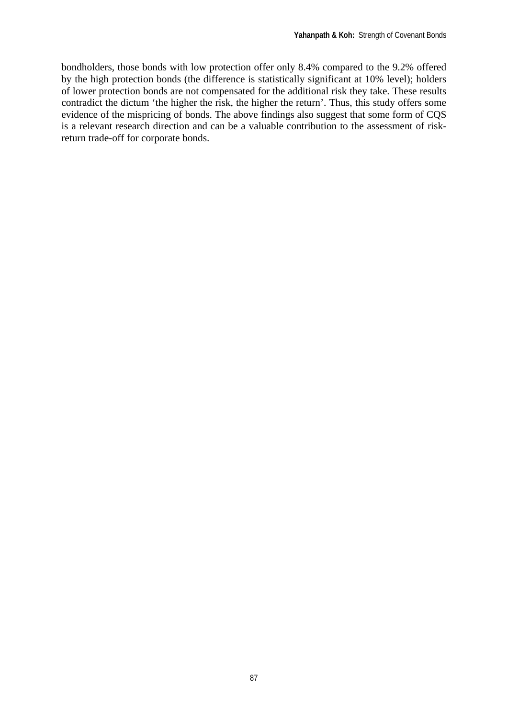bondholders, those bonds with low protection offer only 8.4% compared to the 9.2% offered by the high protection bonds (the difference is statistically significant at 10% level); holders of lower protection bonds are not compensated for the additional risk they take. These results contradict the dictum 'the higher the risk, the higher the return'. Thus, this study offers some evidence of the mispricing of bonds. The above findings also suggest that some form of CQS is a relevant research direction and can be a valuable contribution to the assessment of riskreturn trade-off for corporate bonds.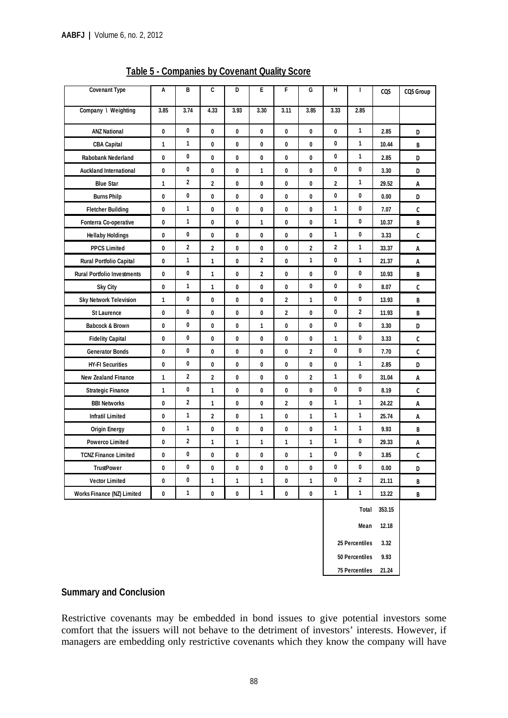| <b>Covenant Type</b>               | Α    | в                       | C                       | D    | Е           | F                       | G                       | н                       | $\mathbf{I}$                    | CQS                     | <b>CQS Group</b> |
|------------------------------------|------|-------------------------|-------------------------|------|-------------|-------------------------|-------------------------|-------------------------|---------------------------------|-------------------------|------------------|
| Company \ Weighting                | 3.85 | 3.74                    | 4.33                    | 3.93 | 3.30        | 3.11                    | 3.85                    | 3.33                    | 2.85                            |                         |                  |
| <b>ANZ National</b>                | 0    | 0                       | 0                       | 0    | 0           | 0                       | 0                       | 0                       | 1                               | 2.85                    | D                |
| <b>CBA Capital</b>                 | 1    | 1                       | 0                       | 0    | 0           | 0                       | 0                       | 0                       | $\mathbf{1}$                    | 10.44                   | B                |
| <b>Rabobank Nederland</b>          | 0    | 0                       | 0                       | 0    | 0           | 0                       | 0                       | 0                       | $\mathbf{1}$                    | 2.85                    | D                |
| <b>Auckland International</b>      | 0    | 0                       | 0                       | 0    | 1           | 0                       | 0                       | 0                       | 0                               | 3.30                    | D                |
| <b>Blue Star</b>                   | 1    | $\overline{\mathbf{2}}$ | $\overline{\mathbf{2}}$ | 0    | 0           | 0                       | 0                       | $\overline{\mathbf{2}}$ | $\mathbf{1}$                    | 29.52                   | Α                |
| <b>Burns Philp</b>                 | 0    | 0                       | 0                       | 0    | 0           | 0                       | 0                       | 0                       | 0                               | 0.00                    | D                |
| <b>Fletcher Building</b>           | 0    | 1                       | 0                       | 0    | 0           | 0                       | 0                       | 1                       | 0                               | 7.07                    | c                |
| Fonterra Co-operative              | 0    | 1                       | 0                       | 0    | 1           | 0                       | 0                       | 1                       | 0                               | 10.37                   | B                |
| <b>Hellaby Holdings</b>            | 0    | 0                       | 0                       | 0    | 0           | 0                       | 0                       | 1                       | 0                               | 3.33                    | $\mathsf{C}$     |
| <b>PPCS Limited</b>                | 0    | $\mathbf 2$             | 2                       | 0    | 0           | 0                       | $\overline{\mathbf{2}}$ | $\mathbf 2$             | 1                               | 33.37                   | Α                |
| Rural Portfolio Capital            | 0    | 1                       | 1                       | 0    | $\mathbf 2$ | 0                       | 1                       | 0                       | $\mathbf{1}$                    | 21.37                   | Α                |
| <b>Rural Portfolio Investments</b> | 0    | 0                       | 1                       | 0    | 2           | 0                       | 0                       | 0                       | 0                               | 10.93                   | B                |
| <b>Sky City</b>                    | 0    | 1                       | 1                       | 0    | 0           | 0                       | 0                       | 0                       | 0                               | 8.07                    | $\mathsf{C}$     |
| <b>Sky Network Television</b>      | 1    | 0                       | 0                       | 0    | 0           | $\overline{\mathbf{2}}$ | $\mathbf{1}$            | 0                       | 0                               | 13.93                   | B                |
| <b>St Laurence</b>                 | 0    | 0                       | 0                       | 0    | 0           | 2                       | 0                       | 0                       | $\mathbf 2$                     | 11.93                   | B                |
| <b>Babcock &amp; Brown</b>         | 0    | 0                       | 0                       | 0    | 1           | 0                       | 0                       | 0                       | 0                               | 3.30                    | D                |
| <b>Fidelity Capital</b>            | 0    | 0                       | 0                       | 0    | 0           | 0                       | 0                       | 1                       | 0                               | 3.33                    | $\mathsf{C}$     |
| <b>Generator Bonds</b>             | 0    | 0                       | 0                       | 0    | 0           | 0                       | $\overline{2}$          | 0                       | 0                               | 7.70                    | C                |
| <b>HY-FI Securities</b>            | 0    | 0                       | 0                       | 0    | 0           | 0                       | 0                       | 0                       | $\mathbf{1}$                    | 2.85                    | D                |
| <b>New Zealand Finance</b>         | 1    | $\overline{\mathbf{2}}$ | $\overline{2}$          | 0    | 0           | 0                       | $\overline{2}$          | 1                       | 0                               | 31.04                   | А                |
| <b>Strategic Finance</b>           | 1    | 0                       | 1                       | 0    | 0           | 0                       | 0                       | 0                       | 0                               | 8.19                    | $\mathsf{C}$     |
| <b>BBI Networks</b>                | 0    | $\overline{\mathbf{2}}$ | 1                       | 0    | 0           | $\overline{\mathbf{2}}$ | 0                       | 1                       | $\mathbf{1}$                    | 24.22                   | Α                |
| <b>Infratil Limited</b>            | 0    | 1                       | 2                       | 0    | 1           | 0                       | $\mathbf{1}$            | 1                       | $\mathbf{1}$                    | 25.74                   | А                |
| <b>Origin Energy</b>               | 0    | 1                       | 0                       | 0    | 0           | 0                       | 0                       | 1                       | $\mathbf{1}$                    | 9.93                    | В                |
| <b>Powerco Limited</b>             | 0    | $\overline{\mathbf{2}}$ | 1                       | 1    | 1           | 1                       | 1                       | 1                       | 0                               | 29.33                   | Α                |
| <b>TCNZ Finance Limited</b>        | 0    | 0                       | 0                       | 0    | 0           | 0                       | 1                       | 0                       | 0                               | 3.85                    | $\mathsf{C}$     |
| <b>TrustPower</b>                  | 0    | 0                       | 0                       | 0    | 0           | 0                       | 0                       | 0                       | 0                               | 0.00                    | D                |
| <b>Vector Limited</b>              | 0    | 0                       | 1                       | 1    | 1           | 0                       | 1                       | 0                       | $\mathbf 2$                     | 21.11                   | B                |
| Works Finance (NZ) Limited         | 0    | 1                       | 0                       | 0    | 1           | 0                       | 0                       | 1                       | $\mathbf{1}$                    | 13.22                   | B                |
|                                    |      |                         |                         |      |             |                         |                         |                         | Total<br>Mean<br>25 Percentiles | 353.15<br>12.18<br>3.32 |                  |
|                                    |      |                         |                         |      |             |                         |                         |                         | 50 Percentiles 9.93             |                         |                  |

**Table 5 - Companies by Covenant Quality Score**

# **Summary and Conclusion**

Restrictive covenants may be embedded in bond issues to give potential investors some comfort that the issuers will not behave to the detriment of investors' interests. However, if managers are embedding only restrictive covenants which they know the company will have

**75 Percentiles 21.24**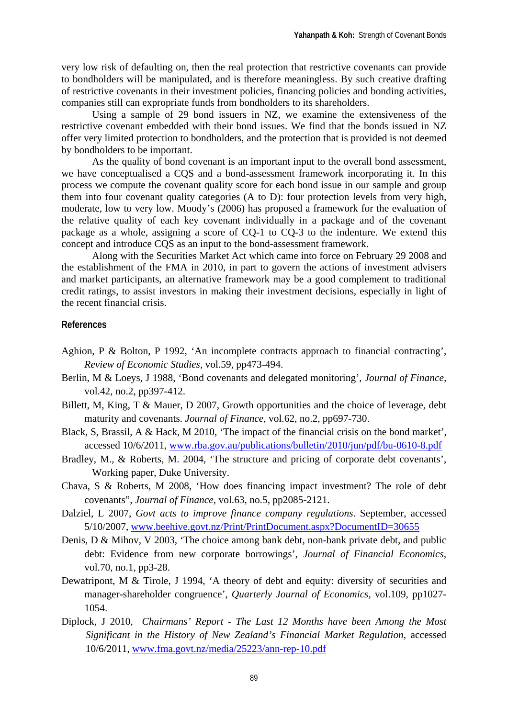very low risk of defaulting on, then the real protection that restrictive covenants can provide to bondholders will be manipulated, and is therefore meaningless. By such creative drafting of restrictive covenants in their investment policies, financing policies and bonding activities, companies still can expropriate funds from bondholders to its shareholders.

Using a sample of 29 bond issuers in NZ, we examine the extensiveness of the restrictive covenant embedded with their bond issues. We find that the bonds issued in NZ offer very limited protection to bondholders, and the protection that is provided is not deemed by bondholders to be important.

As the quality of bond covenant is an important input to the overall bond assessment, we have conceptualised a CQS and a bond-assessment framework incorporating it. In this process we compute the covenant quality score for each bond issue in our sample and group them into four covenant quality categories (A to D): four protection levels from very high, moderate, low to very low. Moody's (2006) has proposed a framework for the evaluation of the relative quality of each key covenant individually in a package and of the covenant package as a whole, assigning a score of CQ-1 to CQ-3 to the indenture. We extend this concept and introduce CQS as an input to the bond-assessment framework.

Along with the Securities Market Act which came into force on February 29 2008 and the establishment of the FMA in 2010, in part to govern the actions of investment advisers and market participants, an alternative framework may be a good complement to traditional credit ratings, to assist investors in making their investment decisions, especially in light of the recent financial crisis.

#### **References**

- Aghion, P & Bolton, P 1992, 'An incomplete contracts approach to financial contracting', *Review of Economic Studies,* vol.59*,* pp473-494.
- Berlin, M & Loeys, J 1988, 'Bond covenants and delegated monitoring', *Journal of Finance,*  vol.42, no.2, pp397-412.
- Billett, M, King, T & Mauer, D 2007, Growth opportunities and the choice of leverage, debt maturity and covenants. *Journal of Finance,* vol.62, no.2, pp697-730.
- Black, S, Brassil, A & Hack, M 2010, 'The impact of the financial crisis on the bond market', accessed 10/6/2011, www.rba.gov.au/publications/bulletin/2010/jun/pdf/bu-0610-8.pdf
- Bradley, M., & Roberts, M. 2004, 'The structure and pricing of corporate debt covenants', Working paper, Duke University.
- Chava, S & Roberts, M 2008, 'How does financing impact investment? The role of debt covenants", *Journal of Finance,* vol.63, no.5, pp2085-2121.
- Dalziel, L 2007, *Govt acts to improve finance company regulations*. September, accessed 5/10/2007, www.beehive.govt.nz/Print/PrintDocument.aspx?DocumentID=30655
- Denis, D & Mihov, V 2003, 'The choice among bank debt, non-bank private debt, and public debt: Evidence from new corporate borrowings', *Journal of Financial Economics,* vol.70, no.1, pp3-28.
- Dewatripont, M & Tirole, J 1994, 'A theory of debt and equity: diversity of securities and manager-shareholder congruence', *Quarterly Journal of Economics,* vol.109, pp1027- 1054.
- Diplock, J 2010, *Chairmans' Report The Last 12 Months have been Among the Most Significant in the History of New Zealand's Financial Market Regulation,* accessed 10/6/2011, www.fma.govt.nz/media/25223/ann-rep-10.pdf